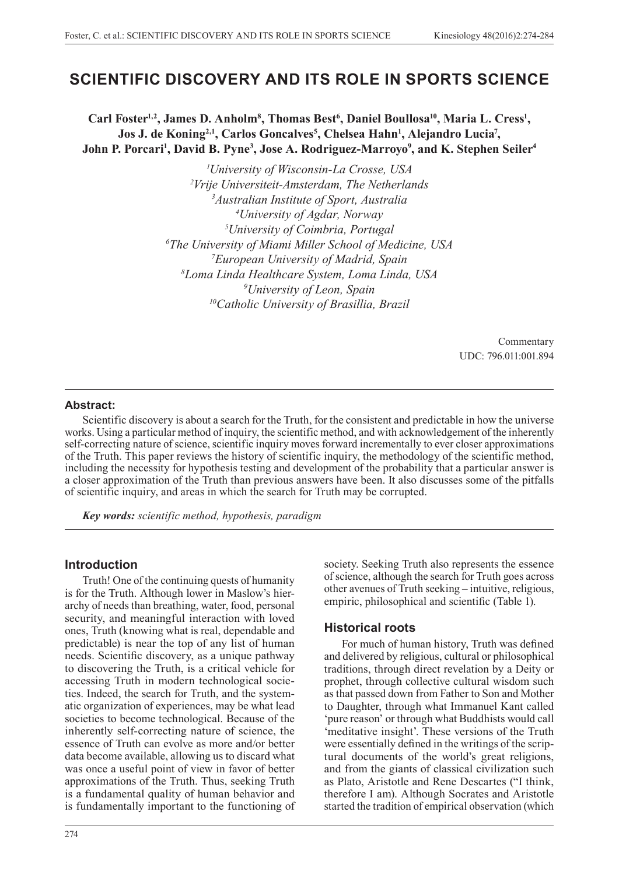# **SCIENTIFIC DISCOVERY AND ITS ROLE IN SPORTS SCIENCE**

Carl Foster<sup>1,2</sup>, James D. Anholm<sup>8</sup>, Thomas Best<sup>6</sup>, Daniel Boullosa<sup>10</sup>, Maria L. Cress<sup>1</sup>, **Jos J. de Koning2,1, Carlos Goncalves5 , Chelsea Hahn1 , Alejandro Lucia7 ,**  John P. Porcari<sup>1</sup>, David B. Pyne<sup>3</sup>, Jose A. Rodriguez-Marroyo<sup>9</sup>, and K. Stephen Seiler<sup>4</sup>

> *University of Wisconsin-La Crosse, USA Vrije Universiteit-Amsterdam, The Netherlands Australian Institute of Sport, Australia University of Agdar, Norway University of Coimbria, Portugal The University of Miami Miller School of Medicine, USA European University of Madrid, Spain Loma Linda Healthcare System, Loma Linda, USA University of Leon, Spain 10Catholic University of Brasillia, Brazil*

> > Commentary UDC: 796.011:001.894

### **Abstract:**

Scientific discovery is about a search for the Truth, for the consistent and predictable in how the universe works. Using a particular method of inquiry, the scientific method, and with acknowledgement of the inherently self-correcting nature of science, scientific inquiry moves forward incrementally to ever closer approximations of the Truth. This paper reviews the history of scientific inquiry, the methodology of the scientific method, including the necessity for hypothesis testing and development of the probability that a particular answer is a closer approximation of the Truth than previous answers have been. It also discusses some of the pitfalls of scientific inquiry, and areas in which the search for Truth may be corrupted.

*Key words: scientific method, hypothesis, paradigm*

### **Introduction**

Truth! One of the continuing quests of humanity is for the Truth. Although lower in Maslow's hierarchy of needs than breathing, water, food, personal security, and meaningful interaction with loved ones, Truth (knowing what is real, dependable and predictable) is near the top of any list of human needs. Scientific discovery, as a unique pathway to discovering the Truth, is a critical vehicle for accessing Truth in modern technological societies. Indeed, the search for Truth, and the systematic organization of experiences, may be what lead societies to become technological. Because of the inherently self-correcting nature of science, the essence of Truth can evolve as more and/or better data become available, allowing us to discard what was once a useful point of view in favor of better approximations of the Truth. Thus, seeking Truth is a fundamental quality of human behavior and is fundamentally important to the functioning of

society. Seeking Truth also represents the essence of science, although the search for Truth goes across other avenues of Truth seeking – intuitive, religious, empiric, philosophical and scientific (Table 1).

### **Historical roots**

For much of human history, Truth was defined and delivered by religious, cultural or philosophical traditions, through direct revelation by a Deity or prophet, through collective cultural wisdom such as that passed down from Father to Son and Mother to Daughter, through what Immanuel Kant called 'pure reason' or through what Buddhists would call 'meditative insight'. These versions of the Truth were essentially defined in the writings of the scriptural documents of the world's great religions, and from the giants of classical civilization such as Plato, Aristotle and Rene Descartes ("I think, therefore I am). Although Socrates and Aristotle started the tradition of empirical observation (which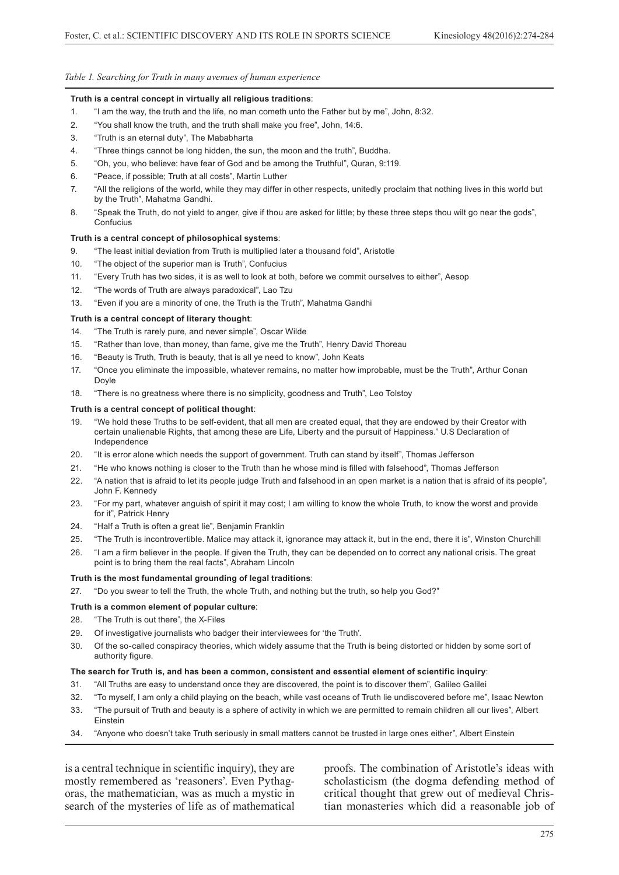#### *Table 1. Searching for Truth in many avenues of human experience*

#### **Truth is a central concept in virtually all religious traditions**:

- 1. "I am the way, the truth and the life, no man cometh unto the Father but by me", John, 8:32.
- 2. "You shall know the truth, and the truth shall make you free", John, 14:6.
- 3. "Truth is an eternal duty", The Mababharta
- 4. "Three things cannot be long hidden, the sun, the moon and the truth", Buddha.
- 5. "Oh, you, who believe: have fear of God and be among the Truthful", Quran, 9:119.
- 6. "Peace, if possible; Truth at all costs", Martin Luther
- 7. "All the religions of the world, while they may differ in other respects, unitedly proclaim that nothing lives in this world but by the Truth", Mahatma Gandhi.
- 8. "Speak the Truth, do not yield to anger, give if thou are asked for little; by these three steps thou wilt go near the gods", **Confucius**

#### **Truth is a central concept of philosophical systems**:

- 9. "The least initial deviation from Truth is multiplied later a thousand fold", Aristotle
- 10. "The object of the superior man is Truth", Confucius
- 11. "Every Truth has two sides, it is as well to look at both, before we commit ourselves to either", Aesop
- 12. "The words of Truth are always paradoxical", Lao Tzu
- 13. "Even if you are a minority of one, the Truth is the Truth", Mahatma Gandhi

#### **Truth is a central concept of literary thought**:

- 14. "The Truth is rarely pure, and never simple", Oscar Wilde
- 15. "Rather than love, than money, than fame, give me the Truth", Henry David Thoreau
- 16. "Beauty is Truth, Truth is beauty, that is all ye need to know", John Keats
- 17. "Once you eliminate the impossible, whatever remains, no matter how improbable, must be the Truth", Arthur Conan Doyle
- 18. "There is no greatness where there is no simplicity, goodness and Truth", Leo Tolstoy

#### **Truth is a central concept of political thought**:

- 19. "We hold these Truths to be self-evident, that all men are created equal, that they are endowed by their Creator with certain unalienable Rights, that among these are Life, Liberty and the pursuit of Happiness." U.S Declaration of Independence
- 20. "It is error alone which needs the support of government. Truth can stand by itself", Thomas Jefferson
- 21. "He who knows nothing is closer to the Truth than he whose mind is filled with falsehood", Thomas Jefferson
- 22. "A nation that is afraid to let its people judge Truth and falsehood in an open market is a nation that is afraid of its people", John F. Kennedy
- 23. "For my part, whatever anguish of spirit it may cost; I am willing to know the whole Truth, to know the worst and provide for it", Patrick Henry
- 24. "Half a Truth is often a great lie", Benjamin Franklin
- 25. "The Truth is incontrovertible. Malice may attack it, ignorance may attack it, but in the end, there it is", Winston Churchill
- 26. "I am a firm believer in the people. If given the Truth, they can be depended on to correct any national crisis. The great point is to bring them the real facts", Abraham Lincoln

#### **Truth is the most fundamental grounding of legal traditions**:

27. "Do you swear to tell the Truth, the whole Truth, and nothing but the truth, so help you God?"

#### **Truth is a common element of popular culture**:

- 28. "The Truth is out there", the X-Files
- 29. Of investigative journalists who badger their interviewees for 'the Truth'.
- 30. Of the so-called conspiracy theories, which widely assume that the Truth is being distorted or hidden by some sort of authority figure.

#### **The search for Truth is, and has been a common, consistent and essential element of scientific inquiry**:

- 31. "All Truths are easy to understand once they are discovered, the point is to discover them", Galileo Galilei
- 32. "To myself, I am only a child playing on the beach, while vast oceans of Truth lie undiscovered before me", Isaac Newton
- 33. "The pursuit of Truth and beauty is a sphere of activity in which we are permitted to remain children all our lives", Albert Einstein
- 34. "Anyone who doesn't take Truth seriously in small matters cannot be trusted in large ones either", Albert Einstein

is a central technique in scientific inquiry), they are mostly remembered as 'reasoners'. Even Pythagoras, the mathematician, was as much a mystic in search of the mysteries of life as of mathematical

proofs. The combination of Aristotle's ideas with scholasticism (the dogma defending method of critical thought that grew out of medieval Christian monasteries which did a reasonable job of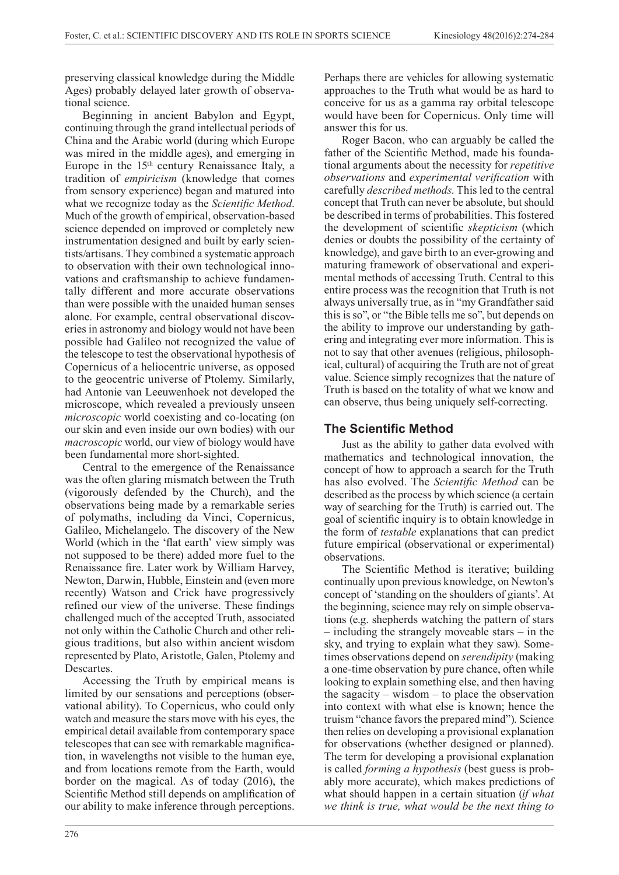preserving classical knowledge during the Middle Ages) probably delayed later growth of observational science.

Beginning in ancient Babylon and Egypt, continuing through the grand intellectual periods of China and the Arabic world (during which Europe was mired in the middle ages), and emerging in Europe in the  $15<sup>th</sup>$  century Renaissance Italy, a tradition of *empiricism* (knowledge that comes from sensory experience) began and matured into what we recognize today as the *Scientific Method*. Much of the growth of empirical, observation-based science depended on improved or completely new instrumentation designed and built by early scientists/artisans. They combined a systematic approach to observation with their own technological innovations and craftsmanship to achieve fundamentally different and more accurate observations than were possible with the unaided human senses alone. For example, central observational discoveries in astronomy and biology would not have been possible had Galileo not recognized the value of the telescope to test the observational hypothesis of Copernicus of a heliocentric universe, as opposed to the geocentric universe of Ptolemy. Similarly, had Antonie van Leeuwenhoek not developed the microscope, which revealed a previously unseen *microscopic* world coexisting and co-locating (on our skin and even inside our own bodies) with our *macroscopic* world, our view of biology would have been fundamental more short-sighted.

Central to the emergence of the Renaissance was the often glaring mismatch between the Truth (vigorously defended by the Church), and the observations being made by a remarkable series of polymaths, including da Vinci, Copernicus, Galileo, Michelangelo. The discovery of the New World (which in the 'flat earth' view simply was not supposed to be there) added more fuel to the Renaissance fire. Later work by William Harvey, Newton, Darwin, Hubble, Einstein and (even more recently) Watson and Crick have progressively refined our view of the universe. These findings challenged much of the accepted Truth, associated not only within the Catholic Church and other religious traditions, but also within ancient wisdom represented by Plato, Aristotle, Galen, Ptolemy and **Descartes**.

Accessing the Truth by empirical means is limited by our sensations and perceptions (observational ability). To Copernicus, who could only watch and measure the stars move with his eyes, the empirical detail available from contemporary space telescopes that can see with remarkable magnification, in wavelengths not visible to the human eye, and from locations remote from the Earth, would border on the magical. As of today (2016), the Scientific Method still depends on amplification of our ability to make inference through perceptions.

Perhaps there are vehicles for allowing systematic approaches to the Truth what would be as hard to conceive for us as a gamma ray orbital telescope would have been for Copernicus. Only time will answer this for us.

Roger Bacon, who can arguably be called the father of the Scientific Method, made his foundational arguments about the necessity for *repetitive observations* and *experimental verification* with carefully *described methods*. This led to the central concept that Truth can never be absolute, but should be described in terms of probabilities. This fostered the development of scientific *skepticism* (which denies or doubts the possibility of the certainty of knowledge), and gave birth to an ever-growing and maturing framework of observational and experimental methods of accessing Truth. Central to this entire process was the recognition that Truth is not always universally true, as in "my Grandfather said this is so", or "the Bible tells me so", but depends on the ability to improve our understanding by gathering and integrating ever more information. This is not to say that other avenues (religious, philosophical, cultural) of acquiring the Truth are not of great value. Science simply recognizes that the nature of Truth is based on the totality of what we know and can observe, thus being uniquely self-correcting.

# **The Scientific Method**

Just as the ability to gather data evolved with mathematics and technological innovation, the concept of how to approach a search for the Truth has also evolved. The *Scientific Method* can be described as the process by which science (a certain way of searching for the Truth) is carried out. The goal of scientific inquiry is to obtain knowledge in the form of *testable* explanations that can predict future empirical (observational or experimental) observations.

The Scientific Method is iterative; building continually upon previous knowledge, on Newton's concept of 'standing on the shoulders of giants'. At the beginning, science may rely on simple observations (e.g. shepherds watching the pattern of stars – including the strangely moveable stars – in the sky, and trying to explain what they saw). Sometimes observations depend on *serendipity* (making a one-time observation by pure chance, often while looking to explain something else, and then having the sagacity – wisdom – to place the observation into context with what else is known; hence the truism "chance favors the prepared mind"). Science then relies on developing a provisional explanation for observations (whether designed or planned). The term for developing a provisional explanation is called *forming a hypothesis* (best guess is probably more accurate), which makes predictions of what should happen in a certain situation (*if what we think is true, what would be the next thing to*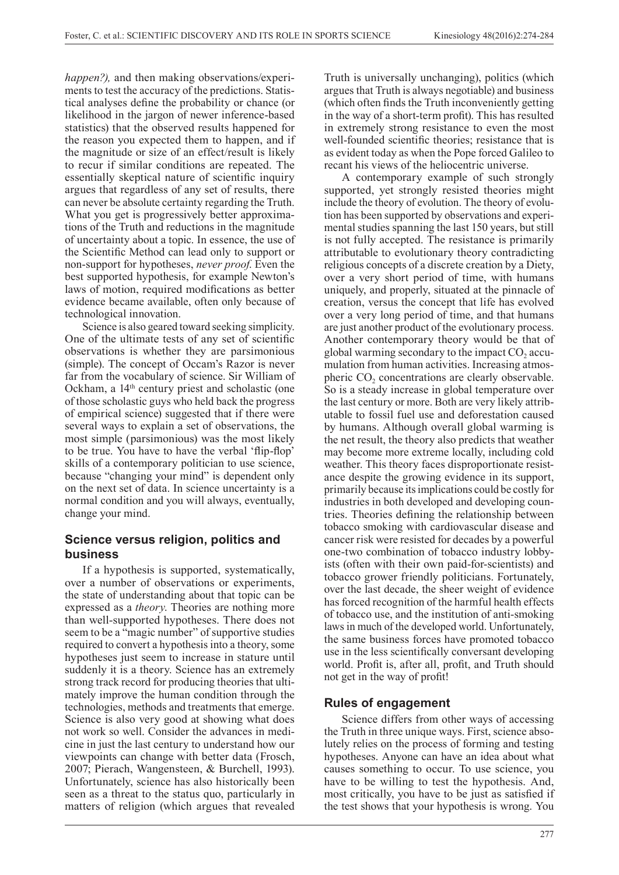*happen?),* and then making observations/experiments to test the accuracy of the predictions. Statistical analyses define the probability or chance (or likelihood in the jargon of newer inference-based statistics) that the observed results happened for the reason you expected them to happen, and if the magnitude or size of an effect/result is likely to recur if similar conditions are repeated. The essentially skeptical nature of scientific inquiry argues that regardless of any set of results, there can never be absolute certainty regarding the Truth. What you get is progressively better approximations of the Truth and reductions in the magnitude of uncertainty about a topic. In essence, the use of the Scientific Method can lead only to support or non-support for hypotheses, *never proof*. Even the best supported hypothesis, for example Newton's laws of motion, required modifications as better evidence became available, often only because of technological innovation.

Science is also geared toward seeking simplicity. One of the ultimate tests of any set of scientific observations is whether they are parsimonious (simple). The concept of Occam's Razor is never far from the vocabulary of science. Sir William of Ockham, a 14<sup>th</sup> century priest and scholastic (one of those scholastic guys who held back the progress of empirical science) suggested that if there were several ways to explain a set of observations, the most simple (parsimonious) was the most likely to be true. You have to have the verbal 'flip-flop' skills of a contemporary politician to use science, because "changing your mind" is dependent only on the next set of data. In science uncertainty is a normal condition and you will always, eventually, change your mind.

# **Science versus religion, politics and business**

If a hypothesis is supported, systematically, over a number of observations or experiments, the state of understanding about that topic can be expressed as a *theory*. Theories are nothing more than well-supported hypotheses. There does not seem to be a "magic number" of supportive studies required to convert a hypothesis into a theory, some hypotheses just seem to increase in stature until suddenly it is a theory. Science has an extremely strong track record for producing theories that ultimately improve the human condition through the technologies, methods and treatments that emerge. Science is also very good at showing what does not work so well. Consider the advances in medicine in just the last century to understand how our viewpoints can change with better data (Frosch, 2007; Pierach, Wangensteen, & Burchell, 1993). Unfortunately, science has also historically been seen as a threat to the status quo, particularly in matters of religion (which argues that revealed

Truth is universally unchanging), politics (which argues that Truth is always negotiable) and business (which often finds the Truth inconveniently getting in the way of a short-term profit). This has resulted in extremely strong resistance to even the most well-founded scientific theories; resistance that is as evident today as when the Pope forced Galileo to recant his views of the heliocentric universe.

A contemporary example of such strongly supported, yet strongly resisted theories might include the theory of evolution. The theory of evolution has been supported by observations and experimental studies spanning the last 150 years, but still is not fully accepted. The resistance is primarily attributable to evolutionary theory contradicting religious concepts of a discrete creation by a Diety, over a very short period of time, with humans uniquely, and properly, situated at the pinnacle of creation, versus the concept that life has evolved over a very long period of time, and that humans are just another product of the evolutionary process. Another contemporary theory would be that of global warming secondary to the impact  $CO<sub>2</sub>$  accumulation from human activities. Increasing atmospheric CO<sub>2</sub> concentrations are clearly observable. So is a steady increase in global temperature over the last century or more. Both are very likely attributable to fossil fuel use and deforestation caused by humans. Although overall global warming is the net result, the theory also predicts that weather may become more extreme locally, including cold weather. This theory faces disproportionate resistance despite the growing evidence in its support, primarily because its implications could be costly for industries in both developed and developing countries. Theories defining the relationship between tobacco smoking with cardiovascular disease and cancer risk were resisted for decades by a powerful one-two combination of tobacco industry lobbyists (often with their own paid-for-scientists) and tobacco grower friendly politicians. Fortunately, over the last decade, the sheer weight of evidence has forced recognition of the harmful health effects of tobacco use, and the institution of anti-smoking laws in much of the developed world. Unfortunately, the same business forces have promoted tobacco use in the less scientifically conversant developing world. Profit is, after all, profit, and Truth should not get in the way of profit!

## **Rules of engagement**

Science differs from other ways of accessing the Truth in three unique ways. First, science absolutely relies on the process of forming and testing hypotheses. Anyone can have an idea about what causes something to occur. To use science, you have to be willing to test the hypothesis. And, most critically, you have to be just as satisfied if the test shows that your hypothesis is wrong. You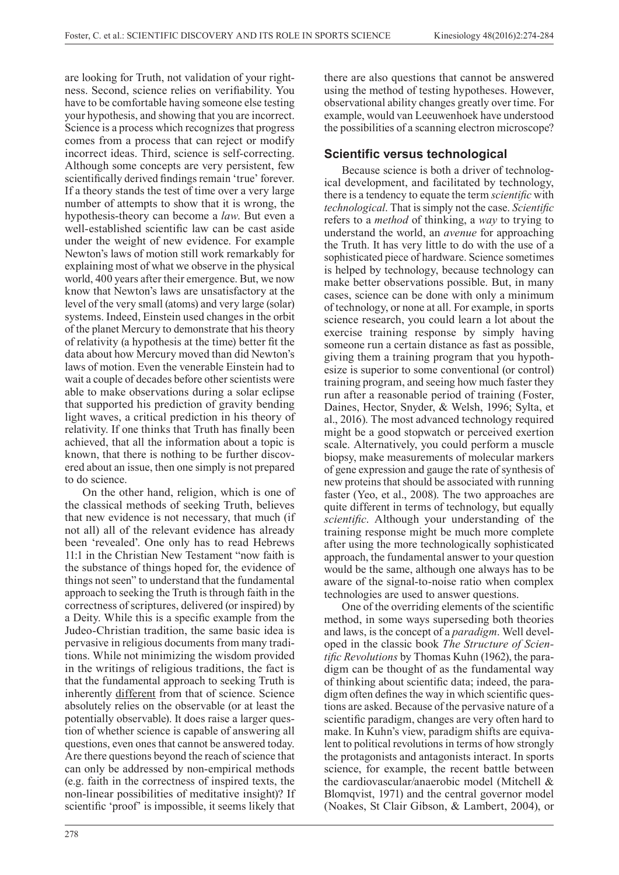are looking for Truth, not validation of your rightness. Second, science relies on verifiability. You have to be comfortable having someone else testing your hypothesis, and showing that you are incorrect. Science is a process which recognizes that progress comes from a process that can reject or modify incorrect ideas. Third, science is self-correcting. Although some concepts are very persistent, few scientifically derived findings remain 'true' forever. If a theory stands the test of time over a very large number of attempts to show that it is wrong, the hypothesis-theory can become a *law*. But even a well-established scientific law can be cast aside under the weight of new evidence. For example Newton's laws of motion still work remarkably for explaining most of what we observe in the physical world, 400 years after their emergence. But, we now know that Newton's laws are unsatisfactory at the level of the very small (atoms) and very large (solar) systems. Indeed, Einstein used changes in the orbit of the planet Mercury to demonstrate that his theory of relativity (a hypothesis at the time) better fit the data about how Mercury moved than did Newton's laws of motion. Even the venerable Einstein had to wait a couple of decades before other scientists were able to make observations during a solar eclipse that supported his prediction of gravity bending light waves, a critical prediction in his theory of relativity. If one thinks that Truth has finally been achieved, that all the information about a topic is known, that there is nothing to be further discovered about an issue, then one simply is not prepared to do science.

On the other hand, religion, which is one of the classical methods of seeking Truth, believes that new evidence is not necessary, that much (if not all) all of the relevant evidence has already been 'revealed'. One only has to read Hebrews 11:1 in the Christian New Testament "now faith is the substance of things hoped for, the evidence of things not seen" to understand that the fundamental approach to seeking the Truth is through faith in the correctness of scriptures, delivered (or inspired) by a Deity. While this is a specific example from the Judeo-Christian tradition, the same basic idea is pervasive in religious documents from many traditions. While not minimizing the wisdom provided in the writings of religious traditions, the fact is that the fundamental approach to seeking Truth is inherently different from that of science. Science absolutely relies on the observable (or at least the potentially observable). It does raise a larger question of whether science is capable of answering all questions, even ones that cannot be answered today. Are there questions beyond the reach of science that can only be addressed by non-empirical methods (e.g. faith in the correctness of inspired texts, the non-linear possibilities of meditative insight)? If scientific 'proof' is impossible, it seems likely that there are also questions that cannot be answered using the method of testing hypotheses. However, observational ability changes greatly over time. For example, would van Leeuwenhoek have understood the possibilities of a scanning electron microscope?

# **Scientific versus technological**

Because science is both a driver of technological development, and facilitated by technology, there is a tendency to equate the term *scientific* with *technological*. That is simply not the case. *Scientific* refers to a *method* of thinking, a *way* to trying to understand the world, an *avenue* for approaching the Truth. It has very little to do with the use of a sophisticated piece of hardware. Science sometimes is helped by technology, because technology can make better observations possible. But, in many cases, science can be done with only a minimum of technology, or none at all. For example, in sports science research, you could learn a lot about the exercise training response by simply having someone run a certain distance as fast as possible, giving them a training program that you hypothesize is superior to some conventional (or control) training program, and seeing how much faster they run after a reasonable period of training (Foster, Daines, Hector, Snyder, & Welsh, 1996; Sylta, et al., 2016). The most advanced technology required might be a good stopwatch or perceived exertion scale. Alternatively, you could perform a muscle biopsy, make measurements of molecular markers of gene expression and gauge the rate of synthesis of new proteins that should be associated with running faster (Yeo, et al., 2008). The two approaches are quite different in terms of technology, but equally *scientific*. Although your understanding of the training response might be much more complete after using the more technologically sophisticated approach, the fundamental answer to your question would be the same, although one always has to be aware of the signal-to-noise ratio when complex technologies are used to answer questions.

One of the overriding elements of the scientific method, in some ways superseding both theories and laws, is the concept of a *paradigm*. Well developed in the classic book *The Structure of Scientific Revolutions* by Thomas Kuhn (1962), the paradigm can be thought of as the fundamental way of thinking about scientific data; indeed, the paradigm often defines the way in which scientific questions are asked. Because of the pervasive nature of a scientific paradigm, changes are very often hard to make. In Kuhn's view, paradigm shifts are equivalent to political revolutions in terms of how strongly the protagonists and antagonists interact. In sports science, for example, the recent battle between the cardiovascular/anaerobic model (Mitchell & Blomqvist, 1971) and the central governor model (Noakes, St Clair Gibson, & Lambert, 2004), or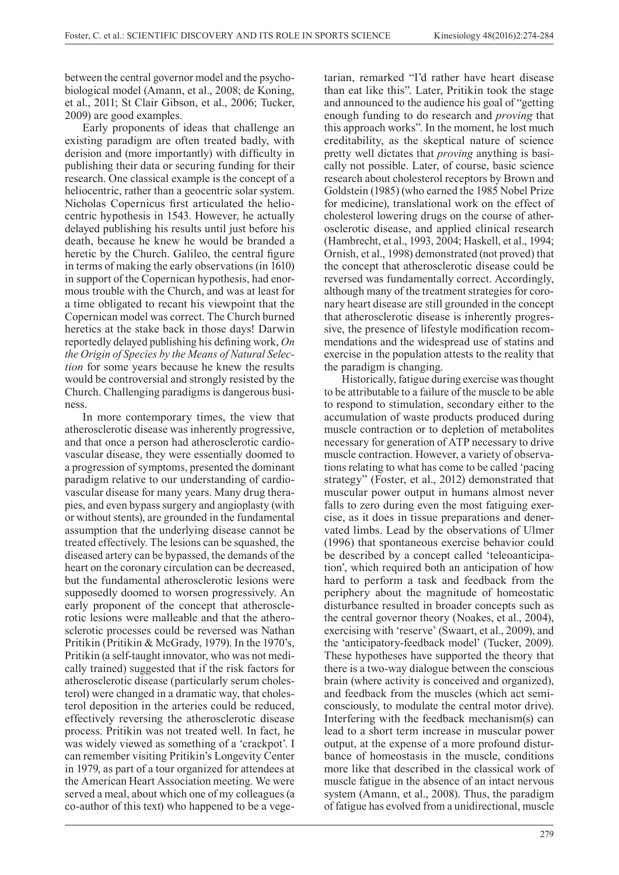between the central governor model and the psychobiological model (Amann, et al., 2008; de Koning, et al., 2011; St Clair Gibson, et al., 2006; Tucker, 2009) are good examples.

Early proponents of ideas that challenge an existing paradigm are often treated badly, with derision and (more importantly) with difficulty in publishing their data or securing funding for their research. One classical example is the concept of a heliocentric, rather than a geocentric solar system. Nicholas Copernicus first articulated the heliocentric hypothesis in 1543. However, he actually delayed publishing his results until just before his death, because he knew he would be branded a heretic by the Church. Galileo, the central figure in terms of making the early observations (in 1610) in support of the Copernican hypothesis, had enormous trouble with the Church, and was at least for a time obligated to recant his viewpoint that the Copernican model was correct. The Church burned heretics at the stake back in those days! Darwin reportedly delayed publishing his defining work, *On the Origin of Species by the Means of Natural Selection* for some years because he knew the results would be controversial and strongly resisted by the Church. Challenging paradigms is dangerous business.

In more contemporary times, the view that atherosclerotic disease was inherently progressive, and that once a person had atherosclerotic cardiovascular disease, they were essentially doomed to a progression of symptoms, presented the dominant paradigm relative to our understanding of cardiovascular disease for many years. Many drug therapies, and even bypass surgery and angioplasty (with or without stents), are grounded in the fundamental assumption that the underlying disease cannot be treated effectively. The lesions can be squashed, the diseased artery can be bypassed, the demands of the heart on the coronary circulation can be decreased, but the fundamental atherosclerotic lesions were supposedly doomed to worsen progressively. An early proponent of the concept that atherosclerotic lesions were malleable and that the atherosclerotic processes could be reversed was Nathan Pritikin (Pritikin & McGrady, 1979). In the 1970's, Pritikin (a self-taught innovator, who was not medically trained) suggested that if the risk factors for atherosclerotic disease (particularly serum cholesterol) were changed in a dramatic way, that cholesterol deposition in the arteries could be reduced, effectively reversing the atherosclerotic disease process. Pritikin was not treated well. In fact, he was widely viewed as something of a 'crackpot'. I can remember visiting Pritikin's Longevity Center in 1979, as part of a tour organized for attendees at the American Heart Association meeting. We were served a meal, about which one of my colleagues (a co-author of this text) who happened to be a vegetarian, remarked "I'd rather have heart disease than eat like this". Later, Pritikin took the stage and announced to the audience his goal of "getting enough funding to do research and *proving* that this approach works". In the moment, he lost much creditability, as the skeptical nature of science pretty well dictates that *proving* anything is basically not possible. Later, of course, basic science research about cholesterol receptors by Brown and Goldstein (1985) (who earned the 1985 Nobel Prize for medicine), translational work on the effect of cholesterol lowering drugs on the course of atherosclerotic disease, and applied clinical research (Hambrecht, et al., 1993, 2004; Haskell, et al., 1994; Ornish, et al., 1998) demonstrated (not proved) that the concept that atherosclerotic disease could be reversed was fundamentally correct. Accordingly, although many of the treatment strategies for coronary heart disease are still grounded in the concept that atherosclerotic disease is inherently progressive, the presence of lifestyle modification recommendations and the widespread use of statins and exercise in the population attests to the reality that the paradigm is changing.

Historically, fatigue during exercise was thought to be attributable to a failure of the muscle to be able to respond to stimulation, secondary either to the accumulation of waste products produced during muscle contraction or to depletion of metabolites necessary for generation of ATP necessary to drive muscle contraction. However, a variety of observations relating to what has come to be called 'pacing strategy" (Foster, et al., 2012) demonstrated that muscular power output in humans almost never falls to zero during even the most fatiguing exercise, as it does in tissue preparations and denervated limbs. Lead by the observations of Ulmer (1996) that spontaneous exercise behavior could be described by a concept called 'teleoanticipation', which required both an anticipation of how hard to perform a task and feedback from the periphery about the magnitude of homeostatic disturbance resulted in broader concepts such as the central governor theory (Noakes, et al., 2004), exercising with 'reserve' (Swaart, et al., 2009), and the 'anticipatory-feedback model' (Tucker, 2009). These hypotheses have supported the theory that there is a two-way dialogue between the conscious brain (where activity is conceived and organized), and feedback from the muscles (which act semiconsciously, to modulate the central motor drive). Interfering with the feedback mechanism(s) can lead to a short term increase in muscular power output, at the expense of a more profound disturbance of homeostasis in the muscle, conditions more like that described in the classical work of muscle fatigue in the absence of an intact nervous system (Amann, et al., 2008). Thus, the paradigm of fatigue has evolved from a unidirectional, muscle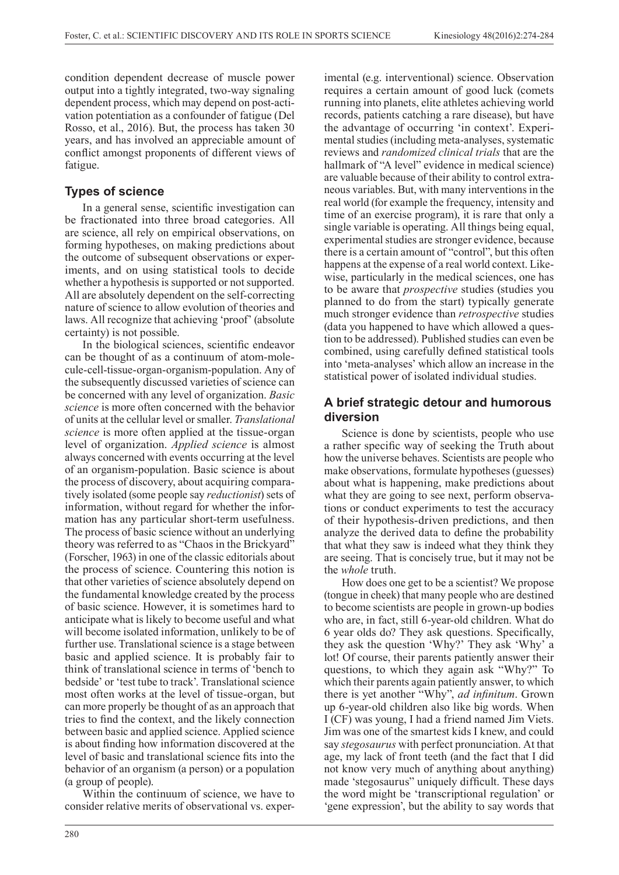condition dependent decrease of muscle power output into a tightly integrated, two-way signaling dependent process, which may depend on post-activation potentiation as a confounder of fatigue (Del Rosso, et al., 2016). But, the process has taken 30 years, and has involved an appreciable amount of conflict amongst proponents of different views of fatigue.

# **Types of science**

In a general sense, scientific investigation can be fractionated into three broad categories. All are science, all rely on empirical observations, on forming hypotheses, on making predictions about the outcome of subsequent observations or experiments, and on using statistical tools to decide whether a hypothesis is supported or not supported. All are absolutely dependent on the self-correcting nature of science to allow evolution of theories and laws. All recognize that achieving 'proof' (absolute certainty) is not possible.

In the biological sciences, scientific endeavor can be thought of as a continuum of atom-molecule-cell-tissue-organ-organism-population. Any of the subsequently discussed varieties of science can be concerned with any level of organization. *Basic science* is more often concerned with the behavior of units at the cellular level or smaller. *Translational science* is more often applied at the tissue-organ level of organization. *Applied science* is almost always concerned with events occurring at the level of an organism-population. Basic science is about the process of discovery, about acquiring comparatively isolated (some people say *reductionist*) sets of information, without regard for whether the information has any particular short-term usefulness. The process of basic science without an underlying theory was referred to as "Chaos in the Brickyard" (Forscher, 1963) in one of the classic editorials about the process of science. Countering this notion is that other varieties of science absolutely depend on the fundamental knowledge created by the process of basic science. However, it is sometimes hard to anticipate what is likely to become useful and what will become isolated information, unlikely to be of further use. Translational science is a stage between basic and applied science. It is probably fair to think of translational science in terms of 'bench to bedside' or 'test tube to track'. Translational science most often works at the level of tissue-organ, but can more properly be thought of as an approach that tries to find the context, and the likely connection between basic and applied science. Applied science is about finding how information discovered at the level of basic and translational science fits into the behavior of an organism (a person) or a population (a group of people).

Within the continuum of science, we have to consider relative merits of observational vs. experimental (e.g. interventional) science. Observation requires a certain amount of good luck (comets running into planets, elite athletes achieving world records, patients catching a rare disease), but have the advantage of occurring 'in context'. Experimental studies (including meta-analyses, systematic reviews and *randomized clinical trials* that are the hallmark of "A level" evidence in medical science) are valuable because of their ability to control extraneous variables. But, with many interventions in the real world (for example the frequency, intensity and time of an exercise program), it is rare that only a single variable is operating. All things being equal, experimental studies are stronger evidence, because there is a certain amount of "control", but this often happens at the expense of a real world context. Likewise, particularly in the medical sciences, one has to be aware that *prospective* studies (studies you planned to do from the start) typically generate much stronger evidence than *retrospective* studies (data you happened to have which allowed a question to be addressed). Published studies can even be combined, using carefully defined statistical tools into 'meta-analyses' which allow an increase in the statistical power of isolated individual studies.

### **A brief strategic detour and humorous diversion**

Science is done by scientists, people who use a rather specific way of seeking the Truth about how the universe behaves. Scientists are people who make observations, formulate hypotheses (guesses) about what is happening, make predictions about what they are going to see next, perform observations or conduct experiments to test the accuracy of their hypothesis-driven predictions, and then analyze the derived data to define the probability that what they saw is indeed what they think they are seeing. That is concisely true, but it may not be the *whole* truth.

How does one get to be a scientist? We propose (tongue in cheek) that many people who are destined to become scientists are people in grown-up bodies who are, in fact, still 6-year-old children. What do 6 year olds do? They ask questions. Specifically, they ask the question 'Why?' They ask 'Why' a lot! Of course, their parents patiently answer their questions, to which they again ask "Why?" To which their parents again patiently answer, to which there is yet another "Why", *ad infinitum*. Grown up 6-year-old children also like big words. When I (CF) was young, I had a friend named Jim Viets. Jim was one of the smartest kids I knew, and could say *stegosaurus* with perfect pronunciation. At that age, my lack of front teeth (and the fact that I did not know very much of anything about anything) made 'stegosaurus" uniquely difficult. These days the word might be 'transcriptional regulation' or 'gene expression', but the ability to say words that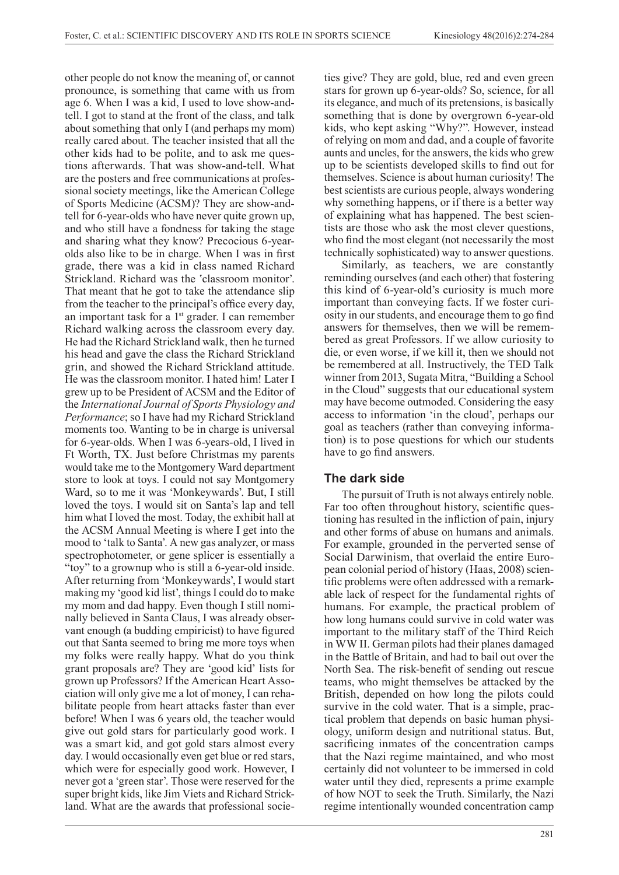other people do not know the meaning of, or cannot pronounce, is something that came with us from age 6. When I was a kid, I used to love show-andtell. I got to stand at the front of the class, and talk about something that only I (and perhaps my mom) really cared about. The teacher insisted that all the other kids had to be polite, and to ask me questions afterwards. That was show-and-tell. What are the posters and free communications at professional society meetings, like the American College of Sports Medicine (ACSM)? They are show-andtell for 6-year-olds who have never quite grown up, and who still have a fondness for taking the stage and sharing what they know? Precocious 6-yearolds also like to be in charge. When I was in first grade, there was a kid in class named Richard Strickland. Richard was the 'classroom monitor'. That meant that he got to take the attendance slip from the teacher to the principal's office every day, an important task for a 1<sup>st</sup> grader. I can remember Richard walking across the classroom every day. He had the Richard Strickland walk, then he turned his head and gave the class the Richard Strickland grin, and showed the Richard Strickland attitude. He was the classroom monitor. I hated him! Later I grew up to be President of ACSM and the Editor of the *International Journal of Sports Physiology and Performance*; so I have had my Richard Strickland moments too. Wanting to be in charge is universal for 6-year-olds. When I was 6-years-old, I lived in Ft Worth, TX. Just before Christmas my parents would take me to the Montgomery Ward department store to look at toys. I could not say Montgomery Ward, so to me it was 'Monkeywards'. But, I still loved the toys. I would sit on Santa's lap and tell him what I loved the most. Today, the exhibit hall at the ACSM Annual Meeting is where I get into the mood to 'talk to Santa'. A new gas analyzer, or mass spectrophotometer, or gene splicer is essentially a "toy" to a grownup who is still a 6-year-old inside. After returning from 'Monkeywards', I would start making my 'good kid list', things I could do to make my mom and dad happy. Even though I still nominally believed in Santa Claus, I was already observant enough (a budding empiricist) to have figured out that Santa seemed to bring me more toys when my folks were really happy. What do you think grant proposals are? They are 'good kid' lists for grown up Professors? If the American Heart Association will only give me a lot of money, I can rehabilitate people from heart attacks faster than ever before! When I was 6 years old, the teacher would give out gold stars for particularly good work. I was a smart kid, and got gold stars almost every day. I would occasionally even get blue or red stars, which were for especially good work. However, I never got a 'green star'. Those were reserved for the super bright kids, like Jim Viets and Richard Strickland. What are the awards that professional societies give? They are gold, blue, red and even green stars for grown up 6-year-olds? So, science, for all its elegance, and much of its pretensions, is basically something that is done by overgrown 6-year-old kids, who kept asking "Why?". However, instead of relying on mom and dad, and a couple of favorite aunts and uncles, for the answers, the kids who grew up to be scientists developed skills to find out for themselves. Science is about human curiosity! The best scientists are curious people, always wondering why something happens, or if there is a better way of explaining what has happened. The best scientists are those who ask the most clever questions, who find the most elegant (not necessarily the most technically sophisticated) way to answer questions.

Similarly, as teachers, we are constantly reminding ourselves (and each other) that fostering this kind of 6-year-old's curiosity is much more important than conveying facts. If we foster curiosity in our students, and encourage them to go find answers for themselves, then we will be remembered as great Professors. If we allow curiosity to die, or even worse, if we kill it, then we should not be remembered at all. Instructively, the TED Talk winner from 2013, Sugata Mitra, "Building a School in the Cloud" suggests that our educational system may have become outmoded. Considering the easy access to information 'in the cloud', perhaps our goal as teachers (rather than conveying information) is to pose questions for which our students have to go find answers.

### **The dark side**

The pursuit of Truth is not always entirely noble. Far too often throughout history, scientific questioning has resulted in the infliction of pain, injury and other forms of abuse on humans and animals. For example, grounded in the perverted sense of Social Darwinism, that overlaid the entire European colonial period of history (Haas, 2008) scientific problems were often addressed with a remarkable lack of respect for the fundamental rights of humans. For example, the practical problem of how long humans could survive in cold water was important to the military staff of the Third Reich in WW II. German pilots had their planes damaged in the Battle of Britain, and had to bail out over the North Sea. The risk-benefit of sending out rescue teams, who might themselves be attacked by the British, depended on how long the pilots could survive in the cold water. That is a simple, practical problem that depends on basic human physiology, uniform design and nutritional status. But, sacrificing inmates of the concentration camps that the Nazi regime maintained, and who most certainly did not volunteer to be immersed in cold water until they died, represents a prime example of how NOT to seek the Truth. Similarly, the Nazi regime intentionally wounded concentration camp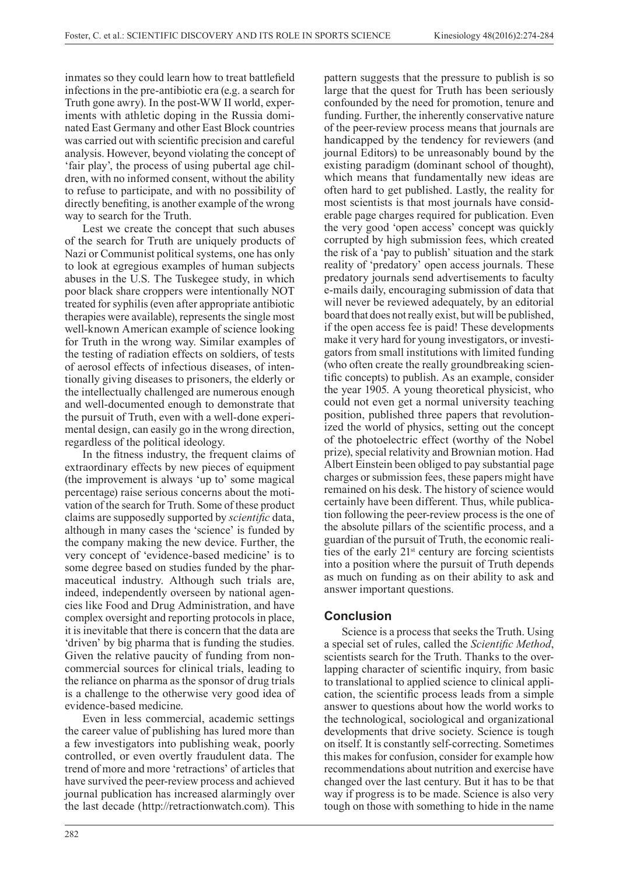inmates so they could learn how to treat battlefield infections in the pre-antibiotic era (e.g. a search for Truth gone awry). In the post-WW II world, experiments with athletic doping in the Russia dominated East Germany and other East Block countries was carried out with scientific precision and careful analysis. However, beyond violating the concept of 'fair play', the process of using pubertal age children, with no informed consent, without the ability to refuse to participate, and with no possibility of directly benefiting, is another example of the wrong way to search for the Truth.

Lest we create the concept that such abuses of the search for Truth are uniquely products of Nazi or Communist political systems, one has only to look at egregious examples of human subjects abuses in the U.S. The Tuskegee study, in which poor black share croppers were intentionally NOT treated for syphilis (even after appropriate antibiotic therapies were available), represents the single most well-known American example of science looking for Truth in the wrong way. Similar examples of the testing of radiation effects on soldiers, of tests of aerosol effects of infectious diseases, of intentionally giving diseases to prisoners, the elderly or the intellectually challenged are numerous enough and well-documented enough to demonstrate that the pursuit of Truth, even with a well-done experimental design, can easily go in the wrong direction, regardless of the political ideology.

In the fitness industry, the frequent claims of extraordinary effects by new pieces of equipment (the improvement is always 'up to' some magical percentage) raise serious concerns about the motivation of the search for Truth. Some of these product claims are supposedly supported by *scientific* data, although in many cases the 'science' is funded by the company making the new device. Further, the very concept of 'evidence-based medicine' is to some degree based on studies funded by the pharmaceutical industry. Although such trials are, indeed, independently overseen by national agencies like Food and Drug Administration, and have complex oversight and reporting protocols in place, it is inevitable that there is concern that the data are 'driven' by big pharma that is funding the studies. Given the relative paucity of funding from noncommercial sources for clinical trials, leading to the reliance on pharma as the sponsor of drug trials is a challenge to the otherwise very good idea of evidence-based medicine.

Even in less commercial, academic settings the career value of publishing has lured more than a few investigators into publishing weak, poorly controlled, or even overtly fraudulent data. The trend of more and more 'retractions' of articles that have survived the peer-review process and achieved journal publication has increased alarmingly over the last decade (http://retractionwatch.com). This

pattern suggests that the pressure to publish is so large that the quest for Truth has been seriously confounded by the need for promotion, tenure and funding. Further, the inherently conservative nature of the peer-review process means that journals are handicapped by the tendency for reviewers (and journal Editors) to be unreasonably bound by the existing paradigm (dominant school of thought), which means that fundamentally new ideas are often hard to get published. Lastly, the reality for most scientists is that most journals have considerable page charges required for publication. Even the very good 'open access' concept was quickly corrupted by high submission fees, which created the risk of a 'pay to publish' situation and the stark reality of 'predatory' open access journals. These predatory journals send advertisements to faculty e-mails daily, encouraging submission of data that will never be reviewed adequately, by an editorial board that does not really exist, but will be published, if the open access fee is paid! These developments make it very hard for young investigators, or investigators from small institutions with limited funding (who often create the really groundbreaking scientific concepts) to publish. As an example, consider the year 1905. A young theoretical physicist, who could not even get a normal university teaching position, published three papers that revolutionized the world of physics, setting out the concept of the photoelectric effect (worthy of the Nobel prize), special relativity and Brownian motion. Had Albert Einstein been obliged to pay substantial page charges or submission fees, these papers might have remained on his desk. The history of science would certainly have been different. Thus, while publication following the peer-review process is the one of the absolute pillars of the scientific process, and a guardian of the pursuit of Truth, the economic realities of the early 21st century are forcing scientists into a position where the pursuit of Truth depends as much on funding as on their ability to ask and answer important questions.

### **Conclusion**

Science is a process that seeks the Truth. Using a special set of rules, called the *Scientific Method*, scientists search for the Truth. Thanks to the overlapping character of scientific inquiry, from basic to translational to applied science to clinical application, the scientific process leads from a simple answer to questions about how the world works to the technological, sociological and organizational developments that drive society. Science is tough on itself. It is constantly self-correcting. Sometimes this makes for confusion, consider for example how recommendations about nutrition and exercise have changed over the last century. But it has to be that way if progress is to be made. Science is also very tough on those with something to hide in the name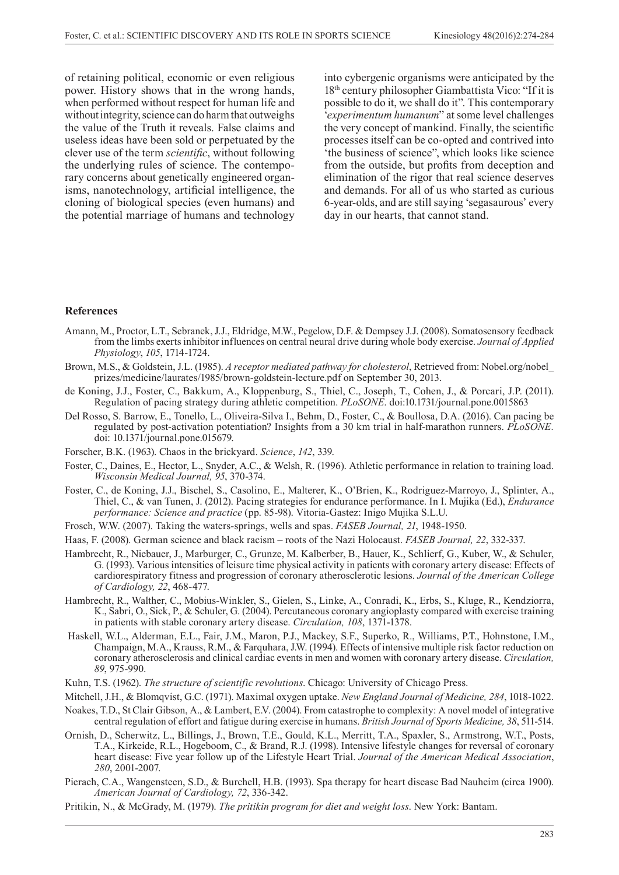of retaining political, economic or even religious power. History shows that in the wrong hands, when performed without respect for human life and without integrity, science can do harm that outweighs the value of the Truth it reveals. False claims and useless ideas have been sold or perpetuated by the clever use of the term *scientific*, without following the underlying rules of science. The contemporary concerns about genetically engineered organisms, nanotechnology, artificial intelligence, the cloning of biological species (even humans) and the potential marriage of humans and technology

into cybergenic organisms were anticipated by the 18th century philosopher Giambattista Vico: "If it is possible to do it, we shall do it". This contemporary '*experimentum humanum*" at some level challenges the very concept of mankind. Finally, the scientific processes itself can be co-opted and contrived into 'the business of science", which looks like science from the outside, but profits from deception and elimination of the rigor that real science deserves and demands. For all of us who started as curious 6-year-olds, and are still saying 'segasaurous' every day in our hearts, that cannot stand.

#### **References**

- Amann, M., Proctor, L.T., Sebranek, J.J., Eldridge, M.W., Pegelow, D.F. & Dempsey J.J. (2008). Somatosensory feedback from the limbs exerts inhibitor influences on central neural drive during whole body exercise. *Journal of Applied Physiology*, *105*, 1714-1724.
- Brown, M.S., & Goldstein, J.L. (1985). *A receptor mediated pathway for cholesterol*, Retrieved from: Nobel.org/nobel\_ prizes/medicine/laurates/1985/brown-goldstein-lecture.pdf on September 30, 2013.
- de Koning, J.J., Foster, C., Bakkum, A., Kloppenburg, S., Thiel, C., Joseph, T., Cohen, J., & Porcari, J.P. (2011). Regulation of pacing strategy during athletic competition. *PLoSONE*. doi:10.1731/journal.pone.0015863
- Del Rosso, S. Barrow, E., Tonello, L., Oliveira-Silva I., Behm, D., Foster, C., & Boullosa, D.A. (2016). Can pacing be regulated by post-activation potentiation? Insights from a 30 km trial in half-marathon runners. *PLoSONE.*  doi: 10.1371/journal.pone.015679.
- Forscher, B.K. (1963). Chaos in the brickyard. *Science*, *142*, 339.
- Foster, C., Daines, E., Hector, L., Snyder, A.C., & Welsh, R. (1996). Athletic performance in relation to training load. *Wisconsin Medical Journal, 95*, 370-374.
- Foster, C., de Koning, J.J., Bischel, S., Casolino, E., Malterer, K., O'Brien, K., Rodriguez-Marroyo, J., Splinter, A., Thiel, C., & van Tunen, J. (2012). Pacing strategies for endurance performance. In I. Mujika (Ed.), *Endurance performance: Science and practice* (pp. 85-98). Vitoria-Gastez: Inigo Mujika S.L.U.
- Frosch, W.W. (2007). Taking the waters-springs, wells and spas. *FASEB Journal, 21*, 1948-1950.
- Haas, F. (2008). German science and black racism roots of the Nazi Holocaust. *FASEB Journal, 22*, 332-337.
- Hambrecht, R., Niebauer, J., Marburger, C., Grunze, M. Kalberber, B., Hauer, K., Schlierf, G., Kuber, W., & Schuler, G. (1993). Various intensities of leisure time physical activity in patients with coronary artery disease: Effects of cardiorespiratory fitness and progression of coronary atherosclerotic lesions. *Journal of the American College of Cardiology, 22*, 468-477.
- Hambrecht, R., Walther, C., Mobius-Winkler, S., Gielen, S., Linke, A., Conradi, K., Erbs, S., Kluge, R., Kendziorra, K., Sabri, O., Sick, P., & Schuler, G. (2004). Percutaneous coronary angioplasty compared with exercise training in patients with stable coronary artery disease. *Circulation, 108*, 1371-1378.
- Haskell, W.L., Alderman, E.L., Fair, J.M., Maron, P.J., Mackey, S.F., Superko, R., Williams, P.T., Hohnstone, I.M., Champaign, M.A., Krauss, R.M., & Farquhara, J.W. (1994). Effects of intensive multiple risk factor reduction on coronary atherosclerosis and clinical cardiac events in men and women with coronary artery disease. *Circulation, 89*, 975-990.
- Kuhn, T.S. (1962). *The structure of scientific revolutions*. Chicago: University of Chicago Press.
- Mitchell, J.H., & Blomqvist, G.C. (1971). Maximal oxygen uptake. *New England Journal of Medicine, 284*, 1018-1022.
- Noakes, T.D., St Clair Gibson, A., & Lambert, E.V. (2004). From catastrophe to complexity: A novel model of integrative central regulation of effort and fatigue during exercise in humans. *British Journal of Sports Medicine, 38*, 511-514.
- Ornish, D., Scherwitz, L., Billings, J., Brown, T.E., Gould, K.L., Merritt, T.A., Spaxler, S., Armstrong, W.T., Posts, T.A., Kirkeide, R.L., Hogeboom, C., & Brand, R.J. (1998). Intensive lifestyle changes for reversal of coronary heart disease: Five year follow up of the Lifestyle Heart Trial. *Journal of the American Medical Association*, *280*, 2001-2007.
- Pierach, C.A., Wangensteen, S.D., & Burchell, H.B. (1993). Spa therapy for heart disease Bad Nauheim (circa 1900). *American Journal of Cardiology, 72*, 336-342.
- Pritikin, N., & McGrady, M. (1979). *The pritikin program for diet and weight loss*. New York: Bantam.